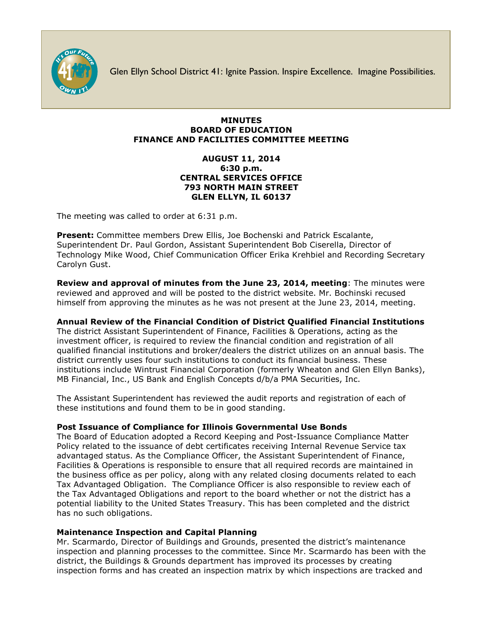

Glen Ellyn School District 41: Ignite Passion. Inspire Excellence. Imagine Possibilities.

#### **MINUTES BOARD OF EDUCATION FINANCE AND FACILITIES COMMITTEE MEETING**

### **AUGUST 11, 2014 6:30 p.m. CENTRAL SERVICES OFFICE 793 NORTH MAIN STREET GLEN ELLYN, IL 60137**

The meeting was called to order at 6:31 p.m.

**Present:** Committee members Drew Ellis, Joe Bochenski and Patrick Escalante, Superintendent Dr. Paul Gordon, Assistant Superintendent Bob Ciserella, Director of Technology Mike Wood, Chief Communication Officer [Erika Krehbiel](http://www.d41.org/contact_email.asp?id=ekrehbiel&n=Erika_Krehbiel) and Recording Secretary Carolyn Gust.

**Review and approval of minutes from the June 23, 2014, meeting**: The minutes were reviewed and approved and will be posted to the district website. Mr. Bochinski recused himself from approving the minutes as he was not present at the June 23, 2014, meeting.

# **Annual Review of the Financial Condition of District Qualified Financial Institutions**

The district Assistant Superintendent of Finance, Facilities & Operations, acting as the investment officer, is required to review the financial condition and registration of all qualified financial institutions and broker/dealers the district utilizes on an annual basis. The district currently uses four such institutions to conduct its financial business. These institutions include Wintrust Financial Corporation (formerly Wheaton and Glen Ellyn Banks), MB Financial, Inc., US Bank and English Concepts d/b/a PMA Securities, Inc.

The Assistant Superintendent has reviewed the audit reports and registration of each of these institutions and found them to be in good standing.

# **Post Issuance of Compliance for Illinois Governmental Use Bonds**

The Board of Education adopted a Record Keeping and Post-Issuance Compliance Matter Policy related to the issuance of debt certificates receiving Internal Revenue Service tax advantaged status. As the Compliance Officer, the Assistant Superintendent of Finance, Facilities & Operations is responsible to ensure that all required records are maintained in the business office as per policy, along with any related closing documents related to each Tax Advantaged Obligation. The Compliance Officer is also responsible to review each of the Tax Advantaged Obligations and report to the board whether or not the district has a potential liability to the United States Treasury. This has been completed and the district has no such obligations.

# **Maintenance Inspection and Capital Planning**

Mr. Scarmardo, Director of Buildings and Grounds, presented the district's maintenance inspection and planning processes to the committee. Since Mr. Scarmardo has been with the district, the Buildings & Grounds department has improved its processes by creating inspection forms and has created an inspection matrix by which inspections are tracked and